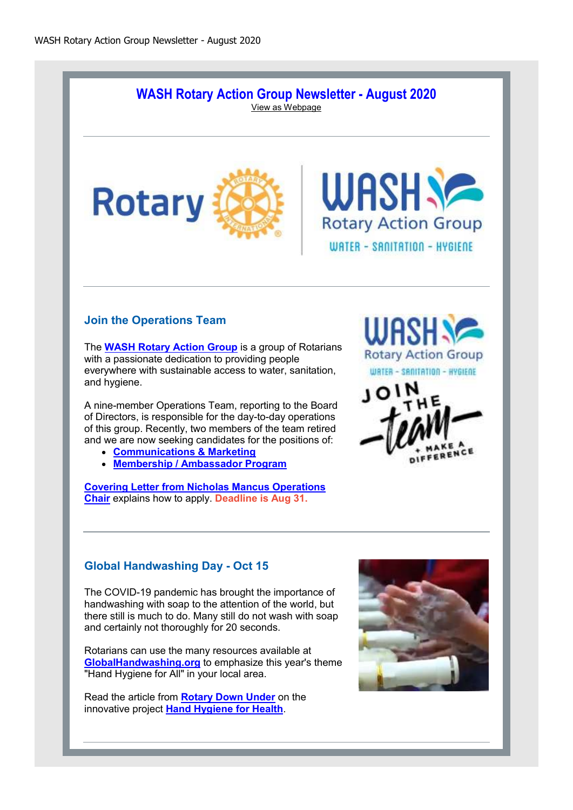### **WASH Rotary Action Group Newsletter - August 2020** View as Webpage





# **Join the Operations Team**

The **WASH Rotary Action Group** is a group of Rotarians with a passionate dedication to providing people everywhere with sustainable access to water, sanitation, and hygiene.

A nine-member Operations Team, reporting to the Board of Directors, is responsible for the day-to-day operations of this group. Recently, two members of the team retired and we are now seeking candidates for the positions of:

- **Communications & Marketing**
- **Membership / Ambassador Program**

**Covering Letter from Nicholas Mancus Operations Chair** explains how to apply. **Deadline is Aug 31.**





## **Global Handwashing Day - Oct 15**

The COVID-19 pandemic has brought the importance of handwashing with soap to the attention of the world, but there still is much to do. Many still do not wash with soap and certainly not thoroughly for 20 seconds.

Rotarians can use the many resources available at **GlobalHandwashing.org** to emphasize this year's theme "Hand Hygiene for All" in your local area.

Read the article from **Rotary Down Under** on the innovative project **Hand Hygiene for Health**.

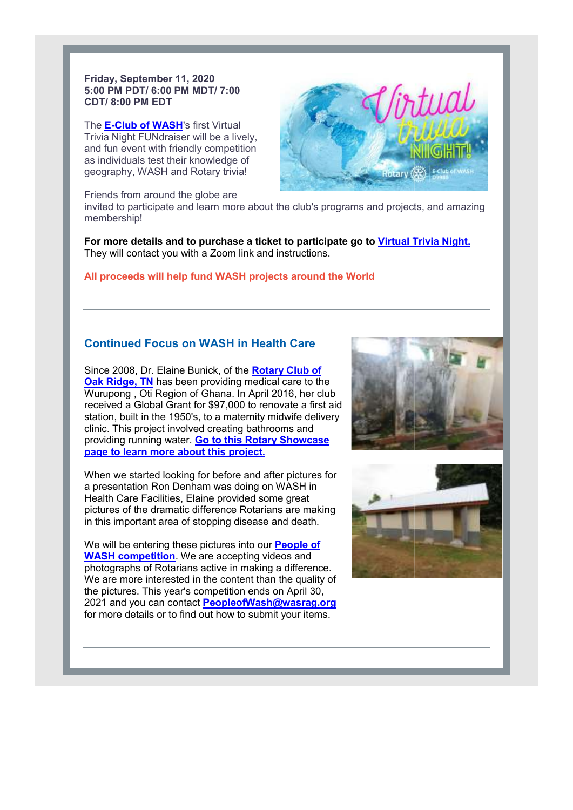#### **Friday, September 11, 2020 5:00 PM PDT/ 6:00 PM MDT/ 7:00 MDT/ CDT/ 8:00 PM EDT**

The **E-Club of WASH**'s first Virtual Trivia Night FUNdraiser will be a lively, and fun event with friendly competition as individuals test their knowledge of Trivia Night FUNdraiser will be a livel<br>and fun event with friendly competitio<br>as individuals test their knowledge of<br>geography, WASH and Rotary trivia!

Friends from around the globe are



invited to participate and learn more about the club's programs and projects, and amazing and projects, and amazing membership!

For more details and to purchase a ticket to participate go to <u>Virtual Trivia Night.</u> They will contact you with a Zoom link and instructions.

### **All proceeds will help fund WASH projects around the World will help projects around**

## **Continued Focus on WASH in Health Care**

Since 2008, Dr. Elaine Bunick, of the **Rotary Club of Oak Ridge, TN** has been providing medical care to the <u>Oak Ridge, TN</u> has been providing medical care to the<br>Wurupong , Oti Region of Ghana. In April 2016, her club received a Global Grant for \$97,000 to renovate a first aid station, built in the 1950's, to a maternity midwife delivery station, built in the 1950's, to a maternity midwife de<br>clinic. This project involved creating bathrooms and providing running water. **Go to this Rotary Showcase page to learn more about this project.** chase a ticket to participate go to <u>Virtual Trivia</u><br>com link and instructions.<br>WASH projects around the World<br>SH in Health Care<br>c, of the <u>Rotary Club of</u><br>man. In April 2016, her club<br>aram. In April 2016, her club<br>aram, a

When we started looking for before and after pictures for a presentation Ron Denham was doing on WASH in Health Care Facilities, Elaine provided some great pictures of the dramatic difference Rotarians are making in this important area of stopping disease and death. a presentation Ron Denham was doing on WASH in<br>Health Care Facilities, Elaine provided some great<br>pictures of the dramatic difference Rotarians are mak<br>in this important area of stopping disease and death.<br>We will be enter

We will be entering these pictures into our **People of WASH competition**. We are accepting videos and photographs of Rotarians active in making a difference. We are more interested in the content than the quality of the pictures. This year's competition ends on April 30, 2021 and you can contact **PeopleofWash@wasrag.org PeopleofWash@wasrag.org** for more details or to find out how to submit your items.



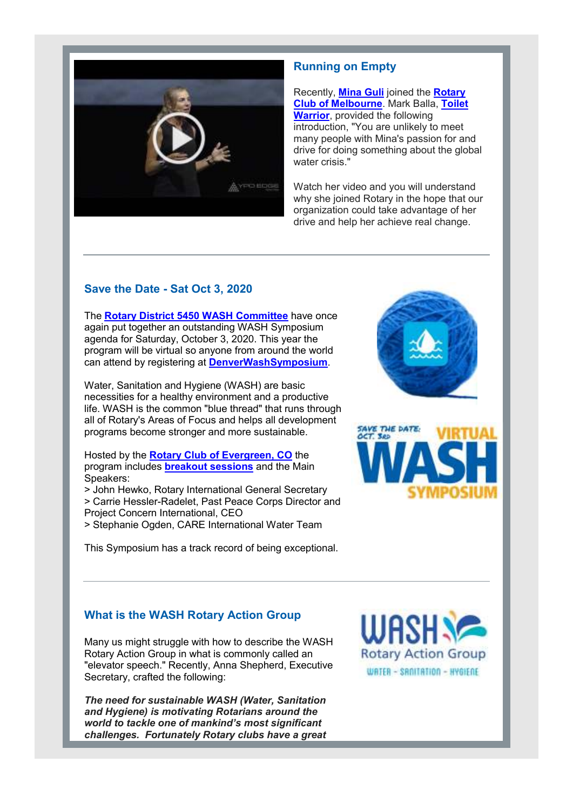

# **Running on Empty**

Recently, **Mina Guli** joined the **Rotary Club of Melbourne**. Mark Balla, **Toilet Warrior**, provided the following introduction, "You are unlikely to meet many people with Mina's passion for and drive for doing something about the global water crisis."

Watch her video and you will understand why she joined Rotary in the hope that our organization could take advantage of her drive and help her achieve real change.

# **Save the Date - Sat Oct 3, 2020**

The **Rotary District 5450 WASH Committee** have once again put together an outstanding WASH Symposium agenda for Saturday, October 3, 2020. This year the program will be virtual so anyone from around the world can attend by registering at **DenverWashSymposium**.

Water, Sanitation and Hygiene (WASH) are basic necessities for a healthy environment and a productive life. WASH is the common "blue thread" that runs through all of Rotary's Areas of Focus and helps all development programs become stronger and more sustainable.

Hosted by the **Rotary Club of Evergreen, CO** the program includes **breakout sessions** and the Main Speakers:

> John Hewko, Rotary International General Secretary > Carrie Hessler-Radelet, Past Peace Corps Director and Project Concern International, CEO

> Stephanie Ogden, CARE International Water Team

This Symposium has a track record of being exceptional.





# **What is the WASH Rotary Action Group**

Many us might struggle with how to describe the WASH Rotary Action Group in what is commonly called an "elevator speech." Recently, Anna Shepherd, Executive Secretary, crafted the following:

*The need for sustainable WASH (Water, Sanitation and Hygiene) is motivating Rotarians around the world to tackle one of mankind's most significant challenges. Fortunately Rotary clubs have a great*  **Rotary Action Group** WATER - SROITATION - HYGIENE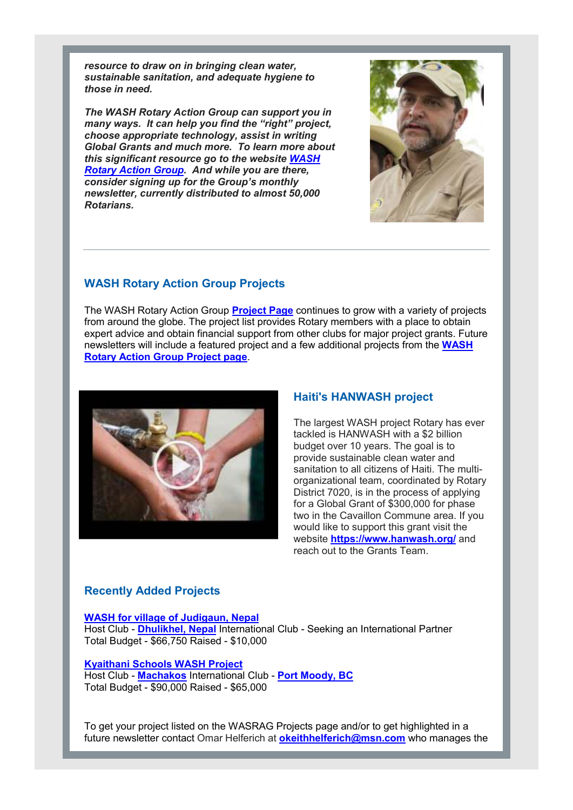*resource to draw on in bringing clean water, sustainable sanitation, and adequate hygiene to those in need.*

*The WASH Rotary Action Group can support you in many ways. It can help you find the "right" project, choose appropriate technology, assist in writing Global Grants and much more. To learn more about this significant resource go to the website WASH Rotary Action Group. And while you are there, consider signing up for the Group's monthly newsletter, currently distributed to almost 50,000 Rotarians.*



## **WASH Rotary Action Group Projects**

The WASH Rotary Action Group **Project Page** continues to grow with a variety of projects from around the globe. The project list provides Rotary members with a place to obtain expert advice and obtain financial support from other clubs for major project grants. Future newsletters will include a featured project and a few additional projects from the **WASH Rotary Action Group Project page**.



#### **Haiti's HANWASH project**

The largest WASH project Rotary has ever tackled is HANWASH with a \$2 billion budget over 10 years. The goal is to provide sustainable clean water and sanitation to all citizens of Haiti. The multiorganizational team, coordinated by Rotary District 7020, is in the process of applying for a Global Grant of \$300,000 for phase two in the Cavaillon Commune area. If you would like to support this grant visit the website **https://www.hanwash.org/** and reach out to the Grants Team.

### **Recently Added Projects**

**WASH for village of Judigaun, Nepal**

Host Club - **Dhulikhel, Nepal** International Club - Seeking an International Partner Total Budget - \$66,750 Raised - \$10,000

#### **Kyaithani Schools WASH Project**

Host Club - **Machakos** International Club - **Port Moody, BC** Total Budget - \$90,000 Raised - \$65,000

To get your project listed on the WASRAG Projects page and/or to get highlighted in a future newsletter contact Omar Helferich at **okeithhelferich@msn.com** who manages the